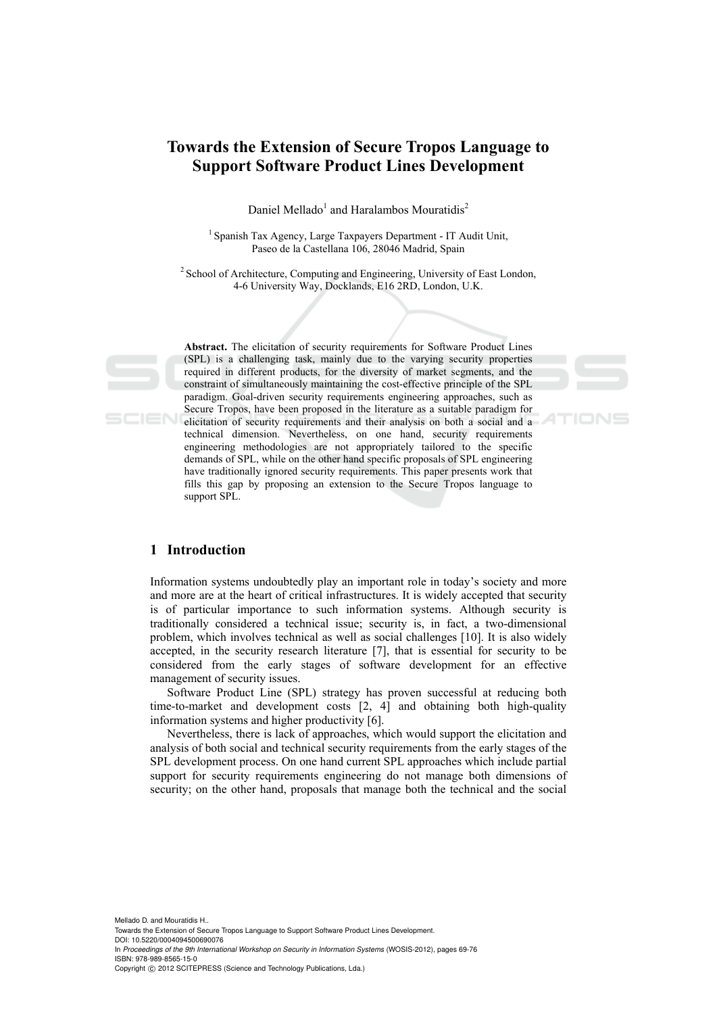# **Towards the Extension of Secure Tropos Language to Support Software Product Lines Development**

Daniel Mellado<sup>1</sup> and Haralambos Mouratidis<sup>2</sup>

1 Spanish Tax Agency, Large Taxpayers Department - IT Audit Unit, Paseo de la Castellana 106, 28046 Madrid, Spain

2 School of Architecture, Computing and Engineering, University of East London, 4-6 University Way, Docklands, E16 2RD, London, U.K.

**Abstract.** The elicitation of security requirements for Software Product Lines (SPL) is a challenging task, mainly due to the varying security properties required in different products, for the diversity of market segments, and the constraint of simultaneously maintaining the cost-effective principle of the SPL paradigm. Goal-driven security requirements engineering approaches, such as Secure Tropos, have been proposed in the literature as a suitable paradigm for elicitation of security requirements and their analysis on both a social and a technical dimension. Nevertheless, on one hand, security requirements engineering methodologies are not appropriately tailored to the specific demands of SPL, while on the other hand specific proposals of SPL engineering have traditionally ignored security requirements. This paper presents work that fills this gap by proposing an extension to the Secure Tropos language to support SPL.

TIONS

# **1 Introduction**

Information systems undoubtedly play an important role in today's society and more and more are at the heart of critical infrastructures. It is widely accepted that security is of particular importance to such information systems. Although security is traditionally considered a technical issue; security is, in fact, a two-dimensional problem, which involves technical as well as social challenges [10]. It is also widely accepted, in the security research literature [7], that is essential for security to be considered from the early stages of software development for an effective management of security issues.

Software Product Line (SPL) strategy has proven successful at reducing both time-to-market and development costs [2, 4] and obtaining both high-quality information systems and higher productivity [6].

Nevertheless, there is lack of approaches, which would support the elicitation and analysis of both social and technical security requirements from the early stages of the SPL development process. On one hand current SPL approaches which include partial support for security requirements engineering do not manage both dimensions of security; on the other hand, proposals that manage both the technical and the social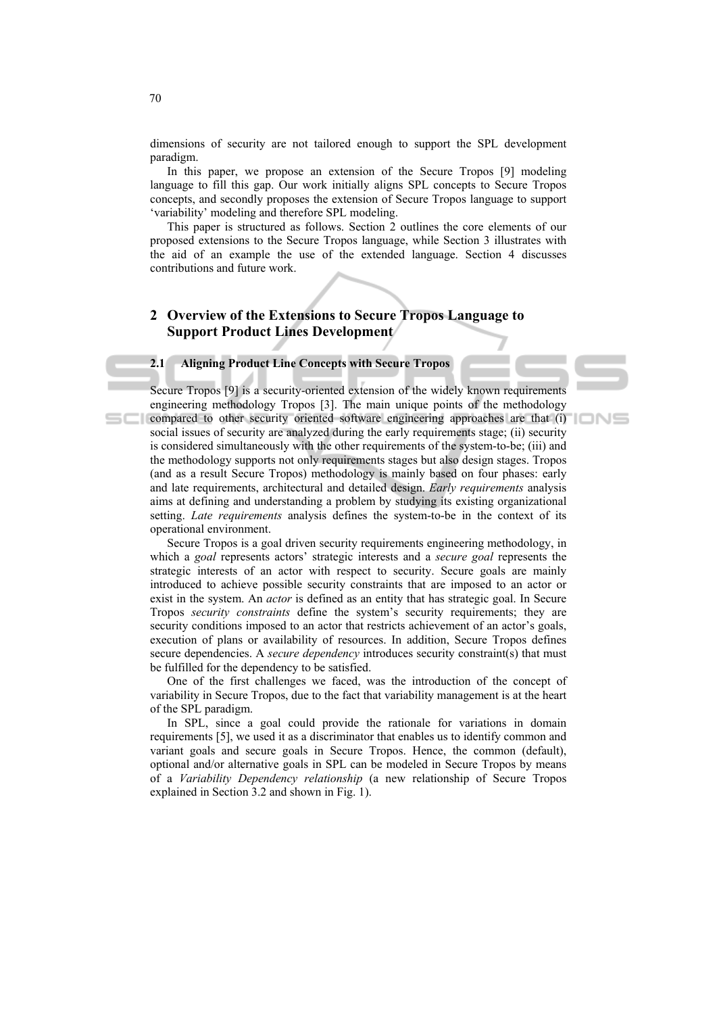dimensions of security are not tailored enough to support the SPL development paradigm.

In this paper, we propose an extension of the Secure Tropos [9] modeling language to fill this gap. Our work initially aligns SPL concepts to Secure Tropos concepts, and secondly proposes the extension of Secure Tropos language to support 'variability' modeling and therefore SPL modeling.

This paper is structured as follows. Section 2 outlines the core elements of our proposed extensions to the Secure Tropos language, while Section 3 illustrates with the aid of an example the use of the extended language. Section 4 discusses contributions and future work.

# **2 Overview of the Extensions to Secure Tropos Language to Support Product Lines Development**

# **2.1 Aligning Product Line Concepts with Secure Tropos**

Secure Tropos [9] is a security-oriented extension of the widely known requirements engineering methodology Tropos [3]. The main unique points of the methodology compared to other security oriented software engineering approaches are that (i) social issues of security are analyzed during the early requirements stage; (ii) security is considered simultaneously with the other requirements of the system-to-be; (iii) and the methodology supports not only requirements stages but also design stages. Tropos (and as a result Secure Tropos) methodology is mainly based on four phases: early and late requirements, architectural and detailed design. *Early requirements* analysis aims at defining and understanding a problem by studying its existing organizational setting. *Late requirements* analysis defines the system-to-be in the context of its operational environment.

Secure Tropos is a goal driven security requirements engineering methodology, in which a *goal* represents actors' strategic interests and a *secure goal* represents the strategic interests of an actor with respect to security. Secure goals are mainly introduced to achieve possible security constraints that are imposed to an actor or exist in the system. An *actor* is defined as an entity that has strategic goal. In Secure Tropos *security constraints* define the system's security requirements; they are security conditions imposed to an actor that restricts achievement of an actor's goals, execution of plans or availability of resources. In addition, Secure Tropos defines secure dependencies. A *secure dependency* introduces security constraint(s) that must be fulfilled for the dependency to be satisfied.

One of the first challenges we faced, was the introduction of the concept of variability in Secure Tropos, due to the fact that variability management is at the heart of the SPL paradigm.

In SPL, since a goal could provide the rationale for variations in domain requirements [5], we used it as a discriminator that enables us to identify common and variant goals and secure goals in Secure Tropos. Hence, the common (default), optional and/or alternative goals in SPL can be modeled in Secure Tropos by means of a *Variability Dependency relationship* (a new relationship of Secure Tropos explained in Section 3.2 and shown in Fig. 1).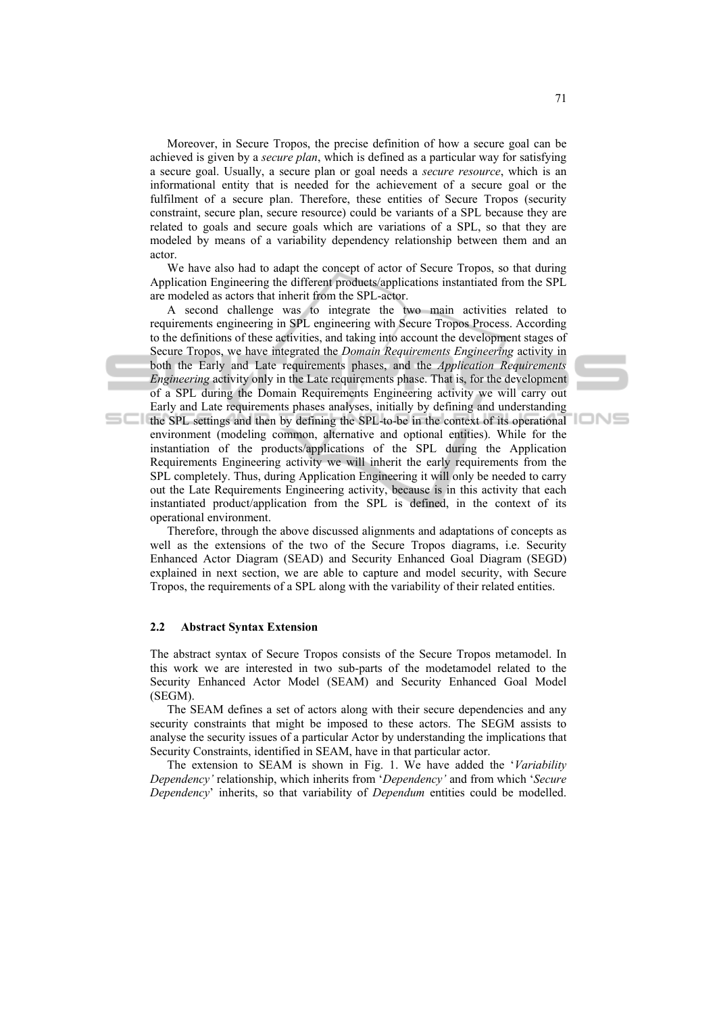Moreover, in Secure Tropos, the precise definition of how a secure goal can be achieved is given by a *secure plan*, which is defined as a particular way for satisfying a secure goal. Usually, a secure plan or goal needs a *secure resource*, which is an informational entity that is needed for the achievement of a secure goal or the fulfilment of a secure plan. Therefore, these entities of Secure Tropos (security constraint, secure plan, secure resource) could be variants of a SPL because they are related to goals and secure goals which are variations of a SPL, so that they are modeled by means of a variability dependency relationship between them and an actor.

We have also had to adapt the concept of actor of Secure Tropos, so that during Application Engineering the different products/applications instantiated from the SPL are modeled as actors that inherit from the SPL-actor.

A second challenge was to integrate the two main activities related to requirements engineering in SPL engineering with Secure Tropos Process. According to the definitions of these activities, and taking into account the development stages of Secure Tropos, we have integrated the *Domain Requirements Engineering* activity in both the Early and Late requirements phases, and the *Application Requirements Engineering* activity only in the Late requirements phase. That is, for the development of a SPL during the Domain Requirements Engineering activity we will carry out Early and Late requirements phases analyses, initially by defining and understanding the SPL settings and then by defining the SPL-to-be in the context of its operational

environment (modeling common, alternative and optional entities). While for the instantiation of the products/applications of the SPL during the Application Requirements Engineering activity we will inherit the early requirements from the SPL completely. Thus, during Application Engineering it will only be needed to carry out the Late Requirements Engineering activity, because is in this activity that each instantiated product/application from the SPL is defined, in the context of its operational environment.

Therefore, through the above discussed alignments and adaptations of concepts as well as the extensions of the two of the Secure Tropos diagrams, i.e. Security Enhanced Actor Diagram (SEAD) and Security Enhanced Goal Diagram (SEGD) explained in next section, we are able to capture and model security, with Secure Tropos, the requirements of a SPL along with the variability of their related entities.

#### **2.2 Abstract Syntax Extension**

The abstract syntax of Secure Tropos consists of the Secure Tropos metamodel. In this work we are interested in two sub-parts of the modetamodel related to the Security Enhanced Actor Model (SEAM) and Security Enhanced Goal Model (SEGM).

The SEAM defines a set of actors along with their secure dependencies and any security constraints that might be imposed to these actors. The SEGM assists to analyse the security issues of a particular Actor by understanding the implications that Security Constraints, identified in SEAM, have in that particular actor.

The extension to SEAM is shown in Fig. 1. We have added the '*Variability Dependency'* relationship, which inherits from '*Dependency'* and from which '*Secure Dependency*' inherits, so that variability of *Dependum* entities could be modelled.

IONS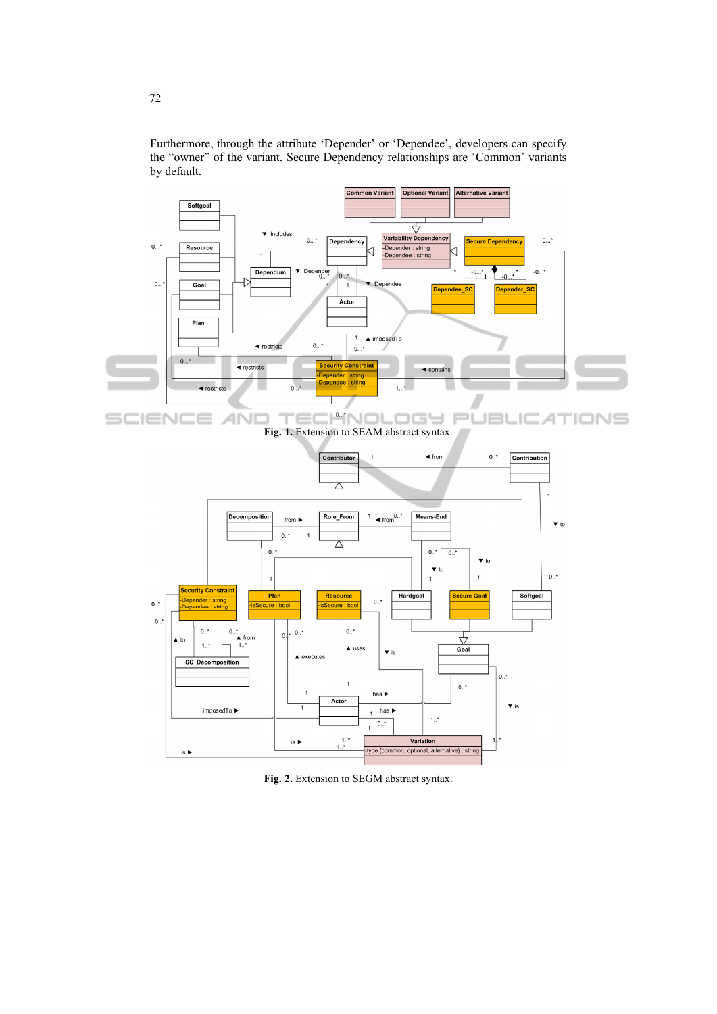

Furthermore, through the attribute 'Depender' or 'Dependee', developers can specify the "owner" of the variant. Secure Dependency relationships are 'Common' variants by default.

IMNOL SCIEN **ANI**  $\equiv$ IONS  $=$ LOGY.  $P<sub>L</sub>$ JBL ю 4 т **Fig. 1.** Extension to SEAM abstract syntax.



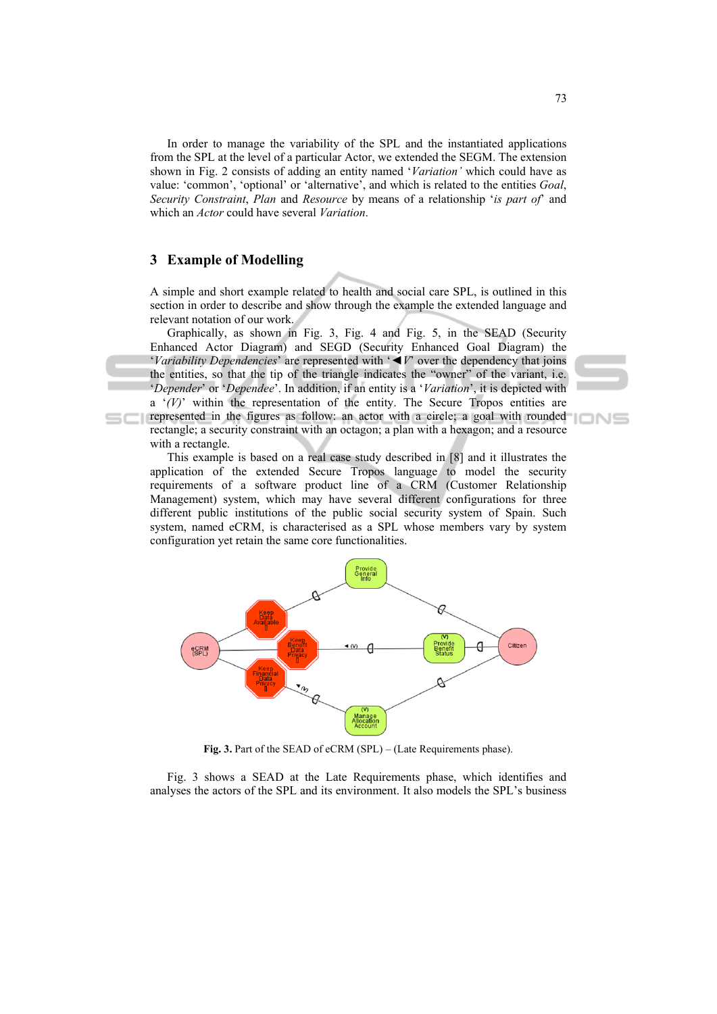In order to manage the variability of the SPL and the instantiated applications from the SPL at the level of a particular Actor, we extended the SEGM. The extension shown in Fig. 2 consists of adding an entity named '*Variation'* which could have as value: 'common', 'optional' or 'alternative', and which is related to the entities *Goal*, *Security Constraint*, *Plan* and *Resource* by means of a relationship '*is part of*' and which an *Actor* could have several *Variation*.

# **3 Example of Modelling**

A simple and short example related to health and social care SPL, is outlined in this section in order to describe and show through the example the extended language and relevant notation of our work.

Graphically, as shown in Fig. 3, Fig. 4 and Fig. 5, in the SEAD (Security Enhanced Actor Diagram) and SEGD (Security Enhanced Goal Diagram) the '*Variability Dependencies*' are represented with '*◄V*' over the dependency that joins the entities, so that the tip of the triangle indicates the "owner" of the variant, i.e. '*Depender*' or '*Dependee*'. In addition, if an entity is a '*Variation*', it is depicted with a '*(V)*' within the representation of the entity. The Secure Tropos entities are

represented in the figures as follow: an actor with a circle; a goal with rounded rectangle; a security constraint with an octagon; a plan with a hexagon; and a resource with a rectangle.

This example is based on a real case study described in [8] and it illustrates the application of the extended Secure Tropos language to model the security requirements of a software product line of a CRM (Customer Relationship Management) system, which may have several different configurations for three different public institutions of the public social security system of Spain. Such system, named eCRM, is characterised as a SPL whose members vary by system configuration yet retain the same core functionalities.



**Fig. 3.** Part of the SEAD of eCRM (SPL) – (Late Requirements phase).

Fig. 3 shows a SEAD at the Late Requirements phase, which identifies and analyses the actors of the SPL and its environment. It also models the SPL's business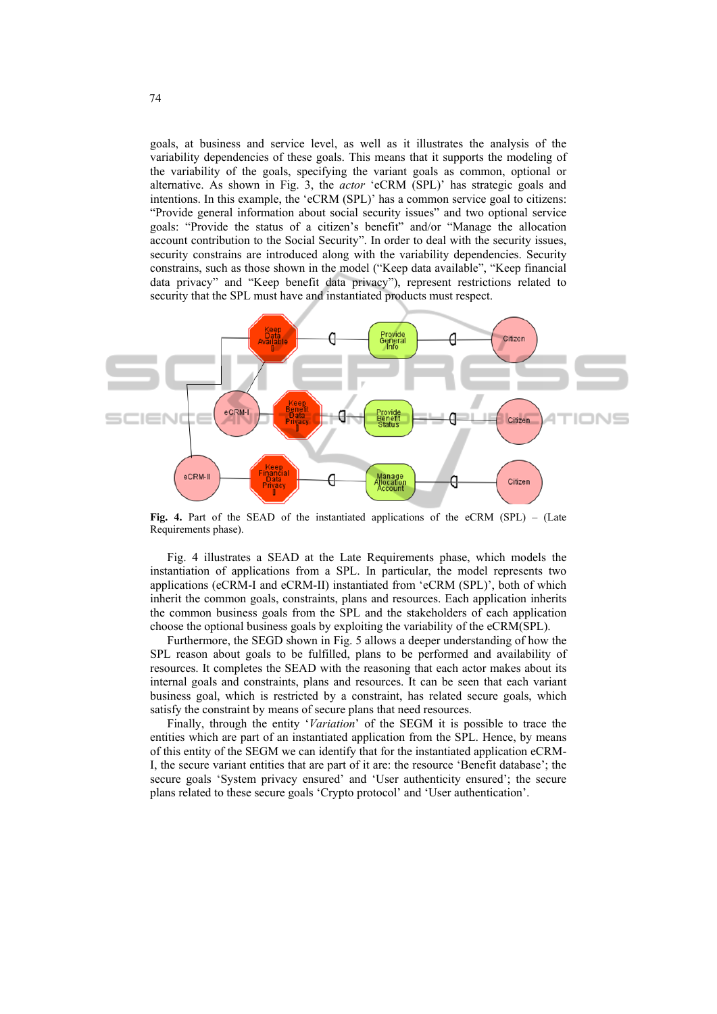goals, at business and service level, as well as it illustrates the analysis of the variability dependencies of these goals. This means that it supports the modeling of the variability of the goals, specifying the variant goals as common, optional or alternative. As shown in Fig. 3, the *actor* 'eCRM (SPL)' has strategic goals and intentions. In this example, the 'eCRM (SPL)' has a common service goal to citizens: "Provide general information about social security issues" and two optional service goals: "Provide the status of a citizen's benefit" and/or "Manage the allocation account contribution to the Social Security". In order to deal with the security issues, security constrains are introduced along with the variability dependencies. Security constrains, such as those shown in the model ("Keep data available", "Keep financial data privacy" and "Keep benefit data privacy"), represent restrictions related to security that the SPL must have and instantiated products must respect.



**Fig. 4.** Part of the SEAD of the instantiated applications of the eCRM (SPL) – (Late Requirements phase).

Fig. 4 illustrates a SEAD at the Late Requirements phase, which models the instantiation of applications from a SPL. In particular, the model represents two applications (eCRM-I and eCRM-II) instantiated from 'eCRM (SPL)', both of which inherit the common goals, constraints, plans and resources. Each application inherits the common business goals from the SPL and the stakeholders of each application choose the optional business goals by exploiting the variability of the eCRM(SPL).

Furthermore, the SEGD shown in Fig. 5 allows a deeper understanding of how the SPL reason about goals to be fulfilled, plans to be performed and availability of resources. It completes the SEAD with the reasoning that each actor makes about its internal goals and constraints, plans and resources. It can be seen that each variant business goal, which is restricted by a constraint, has related secure goals, which satisfy the constraint by means of secure plans that need resources.

Finally, through the entity '*Variation*' of the SEGM it is possible to trace the entities which are part of an instantiated application from the SPL. Hence, by means of this entity of the SEGM we can identify that for the instantiated application eCRM-I, the secure variant entities that are part of it are: the resource 'Benefit database'; the secure goals 'System privacy ensured' and 'User authenticity ensured'; the secure plans related to these secure goals 'Crypto protocol' and 'User authentication'.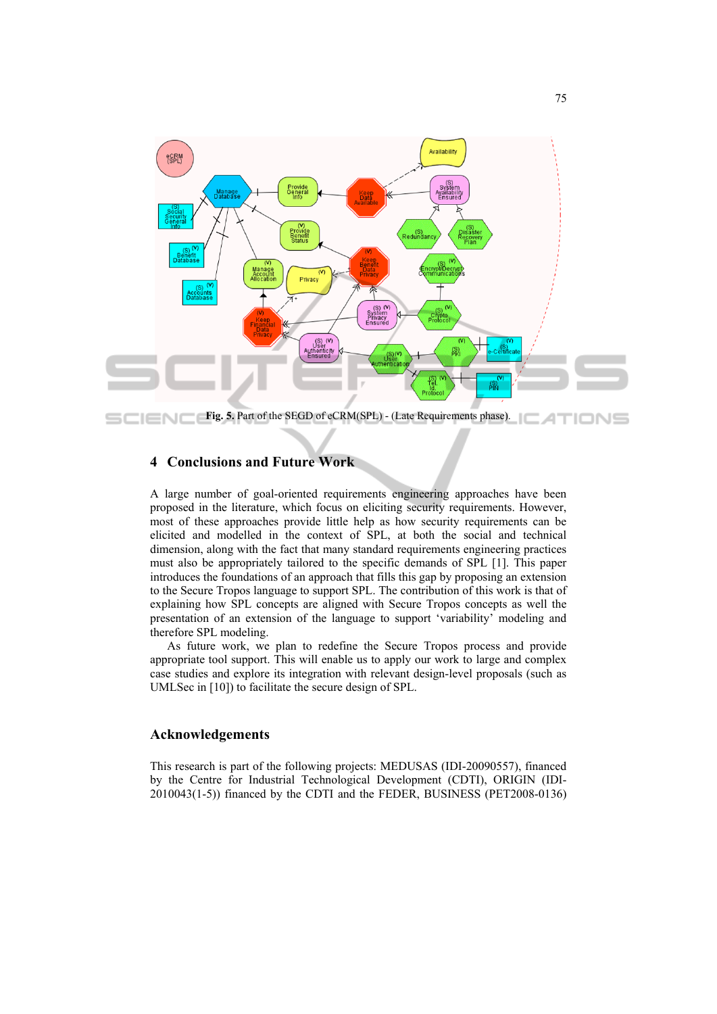

**Fig. 5.** Part of the SEGD of eCRM(SPL) - (Late Requirements phase). SCIEN INS

## **4 Conclusions and Future Work**

A large number of goal-oriented requirements engineering approaches have been proposed in the literature, which focus on eliciting security requirements. However, most of these approaches provide little help as how security requirements can be elicited and modelled in the context of SPL, at both the social and technical dimension, along with the fact that many standard requirements engineering practices must also be appropriately tailored to the specific demands of SPL [1]. This paper introduces the foundations of an approach that fills this gap by proposing an extension to the Secure Tropos language to support SPL. The contribution of this work is that of explaining how SPL concepts are aligned with Secure Tropos concepts as well the presentation of an extension of the language to support 'variability' modeling and therefore SPL modeling.

As future work, we plan to redefine the Secure Tropos process and provide appropriate tool support. This will enable us to apply our work to large and complex case studies and explore its integration with relevant design-level proposals (such as UMLSec in [10]) to facilitate the secure design of SPL.

# **Acknowledgements**

This research is part of the following projects: MEDUSAS (IDI-20090557), financed by the Centre for Industrial Technological Development (CDTI), ORIGIN (IDI-2010043(1-5)) financed by the CDTI and the FEDER, BUSINESS (PET2008-0136)